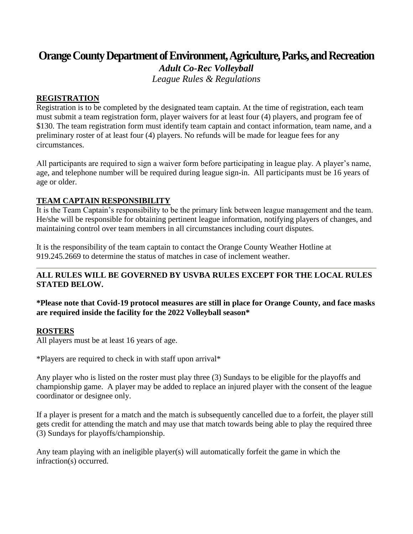# **Orange County Department of Environment, Agriculture, Parks, and Recreation**

*Adult Co-Rec Volleyball League Rules & Regulations*

## **REGISTRATION**

Registration is to be completed by the designated team captain. At the time of registration, each team must submit a team registration form, player waivers for at least four (4) players, and program fee of \$130. The team registration form must identify team captain and contact information, team name, and a preliminary roster of at least four (4) players. No refunds will be made for league fees for any circumstances.

All participants are required to sign a waiver form before participating in league play. A player's name, age, and telephone number will be required during league sign-in. All participants must be 16 years of age or older.

# **TEAM CAPTAIN RESPONSIBILITY**

It is the Team Captain's responsibility to be the primary link between league management and the team. He/she will be responsible for obtaining pertinent league information, notifying players of changes, and maintaining control over team members in all circumstances including court disputes.

It is the responsibility of the team captain to contact the Orange County Weather Hotline at 919.245.2669 to determine the status of matches in case of inclement weather.

# **ALL RULES WILL BE GOVERNED BY USVBA RULES EXCEPT FOR THE LOCAL RULES STATED BELOW.**

**\*Please note that Covid-19 protocol measures are still in place for Orange County, and face masks are required inside the facility for the 2022 Volleyball season\***

#### **ROSTERS**

All players must be at least 16 years of age.

\*Players are required to check in with staff upon arrival\*

Any player who is listed on the roster must play three (3) Sundays to be eligible for the playoffs and championship game. A player may be added to replace an injured player with the consent of the league coordinator or designee only.

If a player is present for a match and the match is subsequently cancelled due to a forfeit, the player still gets credit for attending the match and may use that match towards being able to play the required three (3) Sundays for playoffs/championship.

Any team playing with an ineligible player(s) will automatically forfeit the game in which the infraction(s) occurred.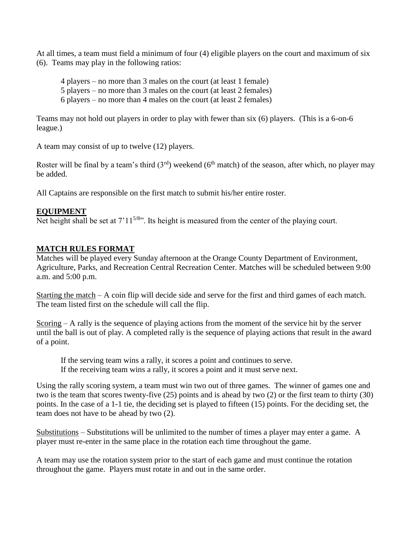At all times, a team must field a minimum of four (4) eligible players on the court and maximum of six (6). Teams may play in the following ratios:

- 4 players no more than 3 males on the court (at least 1 female)
- 5 players no more than 3 males on the court (at least 2 females)
- 6 players no more than 4 males on the court (at least 2 females)

Teams may not hold out players in order to play with fewer than six (6) players. (This is a 6-on-6 league.)

A team may consist of up to twelve (12) players.

Roster will be final by a team's third  $(3<sup>rd</sup>)$  weekend  $(6<sup>th</sup>$  match) of the season, after which, no player may be added.

All Captains are responsible on the first match to submit his/her entire roster.

## **EQUIPMENT**

Net height shall be set at  $7'11^{5/8}$ ". Its height is measured from the center of the playing court.

## **MATCH RULES FORMAT**

Matches will be played every Sunday afternoon at the Orange County Department of Environment, Agriculture, Parks, and Recreation Central Recreation Center. Matches will be scheduled between 9:00 a.m. and 5:00 p.m.

Starting the match – A coin flip will decide side and serve for the first and third games of each match. The team listed first on the schedule will call the flip.

Scoring – A rally is the sequence of playing actions from the moment of the service hit by the server until the ball is out of play. A completed rally is the sequence of playing actions that result in the award of a point.

If the serving team wins a rally, it scores a point and continues to serve. If the receiving team wins a rally, it scores a point and it must serve next.

Using the rally scoring system, a team must win two out of three games. The winner of games one and two is the team that scores twenty-five (25) points and is ahead by two (2) or the first team to thirty (30) points. In the case of a 1-1 tie, the deciding set is played to fifteen (15) points. For the deciding set, the team does not have to be ahead by two (2).

Substitutions – Substitutions will be unlimited to the number of times a player may enter a game. A player must re-enter in the same place in the rotation each time throughout the game.

A team may use the rotation system prior to the start of each game and must continue the rotation throughout the game. Players must rotate in and out in the same order.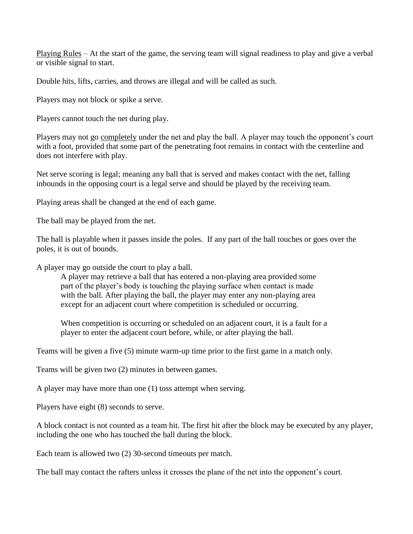Playing Rules – At the start of the game, the serving team will signal readiness to play and give a verbal or visible signal to start.

Double hits, lifts, carries, and throws are illegal and will be called as such.

Players may not block or spike a serve.

Players cannot touch the net during play.

Players may not go completely under the net and play the ball. A player may touch the opponent's court with a foot, provided that some part of the penetrating foot remains in contact with the centerline and does not interfere with play.

Net serve scoring is legal; meaning any ball that is served and makes contact with the net, falling inbounds in the opposing court is a legal serve and should be played by the receiving team.

Playing areas shall be changed at the end of each game.

The ball may be played from the net.

The ball is playable when it passes inside the poles. If any part of the ball touches or goes over the poles, it is out of bounds.

A player may go outside the court to play a ball.

A player may retrieve a ball that has entered a non-playing area provided some part of the player's body is touching the playing surface when contact is made with the ball. After playing the ball, the player may enter any non-playing area except for an adjacent court where competition is scheduled or occurring.

When competition is occurring or scheduled on an adjacent court, it is a fault for a player to enter the adjacent court before, while, or after playing the ball.

Teams will be given a five (5) minute warm-up time prior to the first game in a match only.

Teams will be given two (2) minutes in between games.

A player may have more than one (1) toss attempt when serving.

Players have eight (8) seconds to serve.

A block contact is not counted as a team hit. The first hit after the block may be executed by any player, including the one who has touched the ball during the block.

Each team is allowed two (2) 30-second timeouts per match.

The ball may contact the rafters unless it crosses the plane of the net into the opponent's court.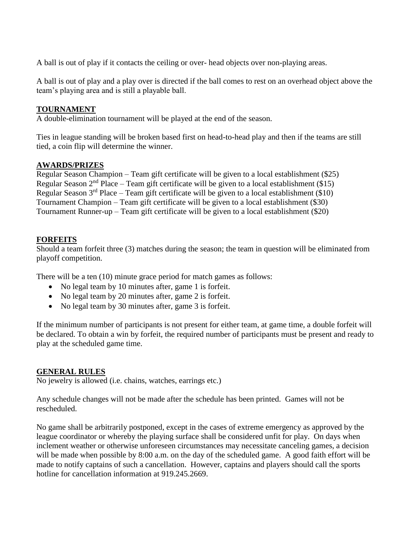A ball is out of play if it contacts the ceiling or over- head objects over non-playing areas.

A ball is out of play and a play over is directed if the ball comes to rest on an overhead object above the team's playing area and is still a playable ball.

# **TOURNAMENT**

A double-elimination tournament will be played at the end of the season.

Ties in league standing will be broken based first on head-to-head play and then if the teams are still tied, a coin flip will determine the winner.

## **AWARDS/PRIZES**

Regular Season Champion – Team gift certificate will be given to a local establishment (\$25) Regular Season  $2<sup>nd</sup>$  Place – Team gift certificate will be given to a local establishment (\$15) Regular Season  $3<sup>rd</sup>$  Place – Team gift certificate will be given to a local establishment (\$10) Tournament Champion – Team gift certificate will be given to a local establishment (\$30) Tournament Runner-up – Team gift certificate will be given to a local establishment (\$20)

## **FORFEITS**

Should a team forfeit three (3) matches during the season; the team in question will be eliminated from playoff competition.

There will be a ten (10) minute grace period for match games as follows:

- No legal team by 10 minutes after, game 1 is forfeit.
- No legal team by 20 minutes after, game 2 is forfeit.
- No legal team by 30 minutes after, game 3 is forfeit.

If the minimum number of participants is not present for either team, at game time, a double forfeit will be declared. To obtain a win by forfeit, the required number of participants must be present and ready to play at the scheduled game time.

#### **GENERAL RULES**

No jewelry is allowed (i.e. chains, watches, earrings etc.)

Any schedule changes will not be made after the schedule has been printed. Games will not be rescheduled.

No game shall be arbitrarily postponed, except in the cases of extreme emergency as approved by the league coordinator or whereby the playing surface shall be considered unfit for play. On days when inclement weather or otherwise unforeseen circumstances may necessitate canceling games, a decision will be made when possible by 8:00 a.m. on the day of the scheduled game. A good faith effort will be made to notify captains of such a cancellation. However, captains and players should call the sports hotline for cancellation information at 919.245.2669.